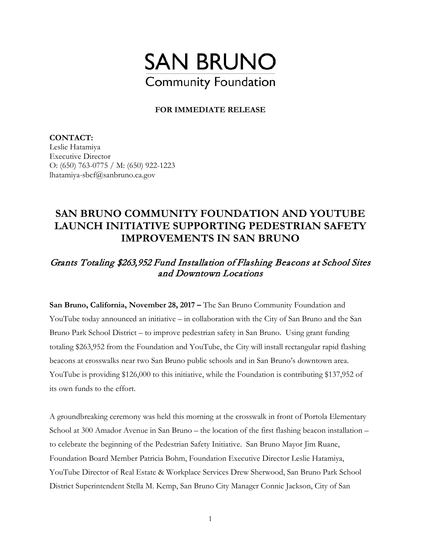

## **FOR IMMEDIATE RELEASE**

**CONTACT:**  Leslie Hatamiya Executive Director O: (650) 763-0775 / M: (650) 922-1223 lhatamiya-sbcf@sanbruno.ca.gov

## **SAN BRUNO COMMUNITY FOUNDATION AND YOUTUBE LAUNCH INITIATIVE SUPPORTING PEDESTRIAN SAFETY IMPROVEMENTS IN SAN BRUNO**

## Grants Totaling \$263,952 Fund Installation of Flashing Beacons at School Sites and Downtown Locations

**San Bruno, California, November 28, 2017 –** The San Bruno Community Foundation and YouTube today announced an initiative – in collaboration with the City of San Bruno and the San Bruno Park School District – to improve pedestrian safety in San Bruno. Using grant funding totaling \$263,952 from the Foundation and YouTube, the City will install rectangular rapid flashing beacons at crosswalks near two San Bruno public schools and in San Bruno's downtown area. YouTube is providing \$126,000 to this initiative, while the Foundation is contributing \$137,952 of its own funds to the effort.

A groundbreaking ceremony was held this morning at the crosswalk in front of Portola Elementary School at 300 Amador Avenue in San Bruno – the location of the first flashing beacon installation – to celebrate the beginning of the Pedestrian Safety Initiative. San Bruno Mayor Jim Ruane, Foundation Board Member Patricia Bohm, Foundation Executive Director Leslie Hatamiya, YouTube Director of Real Estate & Workplace Services Drew Sherwood, San Bruno Park School District Superintendent Stella M. Kemp, San Bruno City Manager Connie Jackson, City of San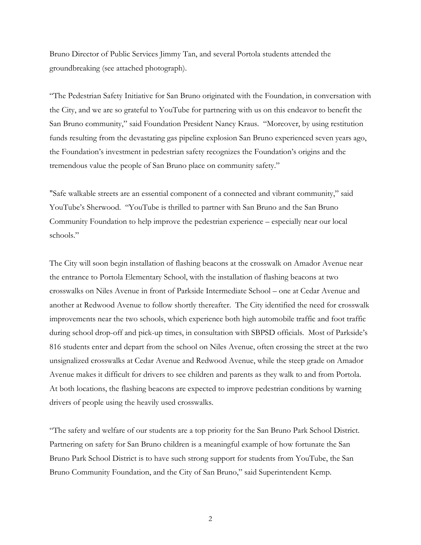Bruno Director of Public Services Jimmy Tan, and several Portola students attended the groundbreaking (see attached photograph).

"The Pedestrian Safety Initiative for San Bruno originated with the Foundation, in conversation with the City, and we are so grateful to YouTube for partnering with us on this endeavor to benefit the San Bruno community," said Foundation President Nancy Kraus. "Moreover, by using restitution funds resulting from the devastating gas pipeline explosion San Bruno experienced seven years ago, the Foundation's investment in pedestrian safety recognizes the Foundation's origins and the tremendous value the people of San Bruno place on community safety."

"Safe walkable streets are an essential component of a connected and vibrant community," said YouTube's Sherwood. "YouTube is thrilled to partner with San Bruno and the San Bruno Community Foundation to help improve the pedestrian experience – especially near our local schools."

The City will soon begin installation of flashing beacons at the crosswalk on Amador Avenue near the entrance to Portola Elementary School, with the installation of flashing beacons at two crosswalks on Niles Avenue in front of Parkside Intermediate School – one at Cedar Avenue and another at Redwood Avenue to follow shortly thereafter. The City identified the need for crosswalk improvements near the two schools, which experience both high automobile traffic and foot traffic during school drop-off and pick-up times, in consultation with SBPSD officials. Most of Parkside's 816 students enter and depart from the school on Niles Avenue, often crossing the street at the two unsignalized crosswalks at Cedar Avenue and Redwood Avenue, while the steep grade on Amador Avenue makes it difficult for drivers to see children and parents as they walk to and from Portola. At both locations, the flashing beacons are expected to improve pedestrian conditions by warning drivers of people using the heavily used crosswalks.

"The safety and welfare of our students are a top priority for the San Bruno Park School District. Partnering on safety for San Bruno children is a meaningful example of how fortunate the San Bruno Park School District is to have such strong support for students from YouTube, the San Bruno Community Foundation, and the City of San Bruno," said Superintendent Kemp.